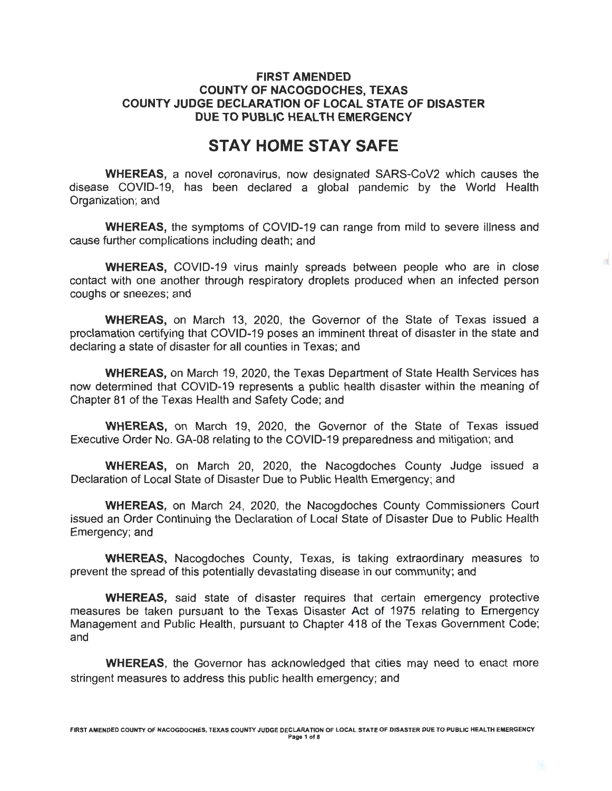#### **FIRST AMENDED COUNTY OF NACOGDOCHES, TEXAS COUNTY JUDGE DECLARATION OF LOCAL STATE OF DISASTER DUE TO PUBLIC HEALTH EMERGENCY**

# **STAY HOME STAY SAFE**

**WHEREAS,** a novel coronavirus, now designated SARS-CoV2 which causes the disease COVID-19, has been declared a global pandemic by the World Health Organization; and

**WHEREAS,** the symptoms of COVID-19 can range from mild to severe illness and cause further complications including death; and

**WHEREAS,** COVID-19 virus mainly spreads between people who are in close contact with one another through respiratory droplets produced when an infected person coughs or sneezes; and

**WHEREAS,** on March 13, 2020, the Governor of the State of Texas issued a proclamation certifying that COVID-19 poses an imminent threat of disaster in the state and declaring a state of disaster for all counties in Texas; and

**WHEREAS,** on March 19, 2020, the Texas Department of State Health Services has now determined that COVID-19 represents a public health disaster within the meaning of Chapter 81 of the Texas Health and Safety Code; and

**WHEREAS,** on March 19, 2020, the Governor of the State of Texas issued Executive Order No. GA-08 relating to the COVID-19 preparedness and mitigation; and

**WHEREAS,** on March 20, 2020, the Nacogdoches County Judge issued a Declaration of Local State of Disaster Due to Public Health Emergency; and

**WHEREAS,** on March 24, 2020, the Nacogdoches County Commissioners Court issued an Order Continuing the Declaration of Local State of Disaster Due to Public Health Emergency; and

**WHEREAS,** Nacogdoches County, Texas, is taking extraordinary measures to prevent the spread of this potentially devastating disease in our community; and

**WHEREAS,** said state of disaster requires that certain emergency protective measures be taken pursuant to the Texas Disaster Act of 1975 relating to Emergency Management and Public Health, pursuant to Chapter 418 of the Texas Government Code; and

**WHEREAS,** the Governor has acknowledged that cities may need to enact more stringent measures to address this public health emergency; and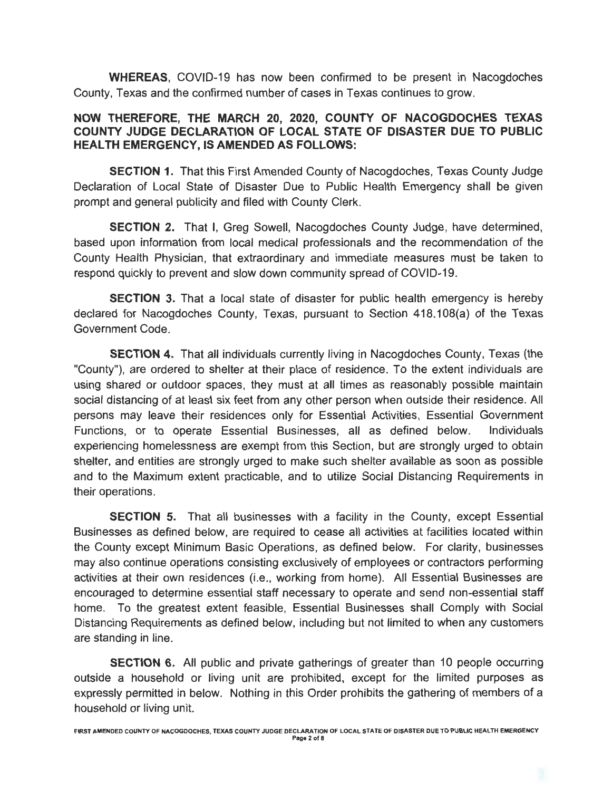**WHEREAS,** COVID-19 has now been confirmed to be present in Nacogdoches County, Texas and the confirmed number of cases in Texas continues to grow.

#### **NOW THEREFORE, THE MARCH 20, 2020, COUNTY OF NACOGDOCHES TEXAS COUNTY JUDGE DECLARATION OF LOCAL STATE OF DISASTER DUE TO PUBLIC HEALTH EMERGENCY, IS AMENDED AS FOLLOWS:**

**SECTION 1.** That this First Amended County of Nacogdoches, Texas County Judge Declaration of Local State of Disaster Due to Public Health Emergency shall be given prompt and general publicity and filed with County Clerk.

**SECTION 2.** That I, Greg Sowell, Nacogdoches County Judge, have determined, based upon information from local medical professionals and the recommendation of the County Health Physician, that extraordinary and immediate measures must be taken to respond quickly to prevent and slow down community spread of COVID-19.

**SECTION** 3. That a local state of disaster for public health emergency is hereby declared for Nacogdoches County, Texas, pursuant to Section 418.108(a) of the Texas Government Code.

**SECTION 4.** That all individuals currently living in Nacogdoches County, Texas (the "County"), are ordered to shelter at their place of residence. To the extent individuals are using shared or outdoor spaces, they must at all times as reasonably possible maintain social distancing of at least six feet from any other person when outside their residence. All persons may leave their residences only for Essential Activities, Essential Government Functions, or to operate Essential Businesses, all as defined below. Individuals experiencing homelessness are exempt from this Section, but are strongly urged to obtain shelter, and entities are strongly urged to make such shelter available as soon as possible and to the Maximum extent practicable, and to utilize Social Distancing Requirements in their operations.

**SECTION** 5. That all businesses with a facility in the County, except Essential Businesses as defined below, are required to cease all activities at facilities located within the County except Minimum Basic Operations, as defined below. For clarity, businesses may also continue operations consisting exclusively of employees or contractors performing activities at their own residences (i.e., working from home). All Essential Businesses are encouraged to determine essential staff necessary to operate and send non-essential staff home. To the greatest extent feasible, Essential Businesses shall Comply with Social Distancing Requirements as defined below, including but not limited to when any customers are standing in line.

**SECTION** 6. All public and private gatherings of greater than 10 people occurring outside a household or living unit are prohibited, except for the limited purposes as expressly permitted in below. Nothing in this Order prohibits the gathering of members of a household or living unit.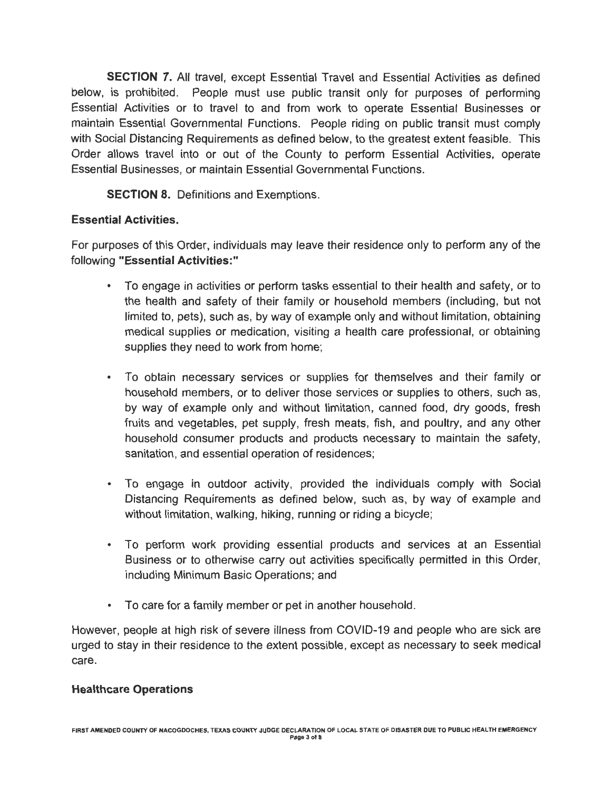**SECTION 7.** All travel, except Essential Travel and Essential Activities as defined below, is prohibited. People must use public transit only for purposes of performing Essential Activities or to travel to and from work to operate Essential Businesses or maintain Essential Governmental Functions. People riding on public transit must comply with Social Distancing Requirements as defined below, to the greatest extent feasible. This Order allows travel into or out of the County to perform Essential Activities, operate Essential Businesses, or maintain Essential Governmental Functions.

**SECTION 8.** Definitions and Exemptions.

# **Essential Activities.**

For purposes of this Order, individuals may leave their residence only to perform any of the following **"Essential Activities:"** 

- To engage in activities or perform tasks essential to their health and safety, or to the health and safety of their family or household members (including, but not limited to, pets), such as, by way of example only and without limitation, obtaining medical supplies or medication, visiting a health care professional, or obtaining supplies they need to work from home;
- To obtain necessary services or supplies for themselves and their family or household members, or to deliver those services or supplies to others, such as, by way of example only and without limitation, canned food, dry goods, fresh fruits and vegetables, pet supply, fresh meats, fish, and poultry, and any other household consumer products and products necessary to maintain the safety, sanitation, and essential operation of residences;
- To engage in outdoor activity, provided the individuals comply with Social Distancing Requirements as defined below, such as, by way of example and without limitation, walking, hiking, running or riding a bicycle;
- To perform work providing essential products and services at an Essential Business or to otherwise carry out activities specifically permitted in this Order, including Minimum Basic Operations; and
- To care for a family member or pet in another household.

However, people at high risk of severe illness from COVID-19 and people who are sick are urged to stay in their residence to the extent possible, except as necessary to seek medical care.

## **Healthcare Operations**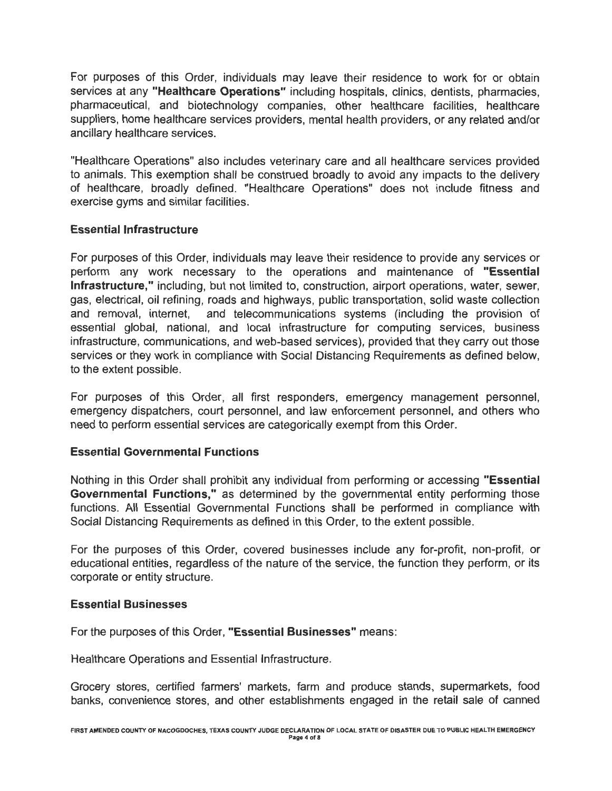For purposes of this Order, individuals may leave their residence to work for or obtain services at any **"Healthcare Operations"** including hospitals, clinics, dentists, pharmacies, pharmaceutical, and biotechnology companies, other healthcare facilities, healthcare suppliers, home healthcare services providers, mental health providers, or any related and/or ancillary healthcare services.

"Healthcare Operations" also includes veterinary care and all healthcare services provided to animals. This exemption shall be construed broadly to avoid any impacts to the delivery of healthcare, broadly defined. "Healthcare Operations" does not include fitness and exercise gyms and similar facilities.

#### **Essential Infrastructure**

For purposes of this Order, individuals may leave their residence to provide any services or perform any work necessary to the operations and maintenance of **"Essential Infrastructure,"** including, but not limited to, construction, airport operations, water, sewer, gas, electrical, oil refining, roads and highways, public transportation, solid waste collection and removal, internet, and telecommunications systems (including the provision of essential global, national, and local infrastructure for computing services, business infrastructure, communications, and web-based services), provided that they carry out those services or they work in compliance with Social Distancing Requirements as defined below, to the extent possible.

For purposes of this Order, all first responders, emergency management personnel, emergency dispatchers, court personnel, and law enforcement personnel, and others who need to perform essential services are categorically exempt from this Order.

#### **Essential Governmental Functions**

Nothing in this Order shall prohibit any individual from performing or accessing **"Essential Governmental Functions,"** as determined by the governmental entity performing those functions. All Essential Governmental Functions shall be performed in compliance with Social Distancing Requirements as defined in this Order, to the extent possible.

For the purposes of this Order, covered businesses include any for-profit, non-profit, or educational entities, regardless of the nature of the service, the function they perform, or its corporate or entity structure.

#### **Essential Businesses**

For the purposes of this Order, **"Essential Businesses"** means:

Healthcare Operations and Essential Infrastructure.

Grocery stores, certified farmers' markets, farm and produce stands, supermarkets, food banks, convenience stores, and other establishments engaged in the retail sale of canned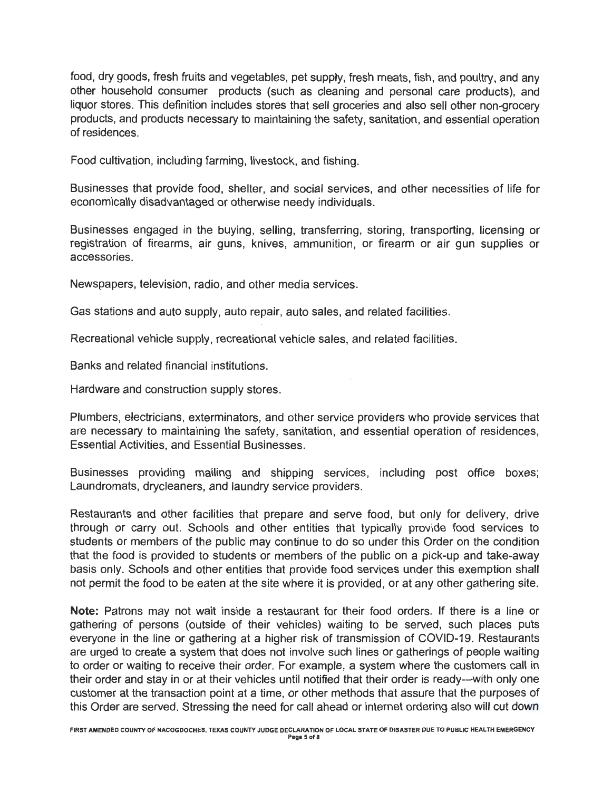food, dry goods, fresh fruits and vegetables, pet supply, fresh meats, fish, and poultry, and any other household consumer products (such as cleaning and personal care products), and liquor stores. This definition includes stores that sell groceries and also sell other non-grocery products, and products necessary to maintaining the safety, sanitation, and essential operation of residences.

Food cultivation, including farming, livestock, and fishing.

Businesses that provide food, shelter, and social services, and other necessities of life for economically disadvantaged or otherwise needy individuals.

Businesses engaged in the buying, selling, transferring, storing, transporting, licensing or registration of firearms, air guns, knives, ammunition, or firearm or air gun supplies or accessories.

Newspapers, television, radio, and other media services.

Gas stations and auto supply, auto repair, auto sales, and related facilities.

Recreational vehicle supply, recreational vehicle sales, and related facilities.

Banks and related financial institutions.

Hardware and construction supply stores.

Plumbers, electricians, exterminators, and other service providers who provide services that are necessary to maintaining the safety, sanitation, and essential operation of residences, Essential Activities, and Essential Businesses.

Businesses providing mailing and shipping services, including post office boxes; Laundromats, drycleaners, and laundry service providers.

Restaurants and other facilities that prepare and serve food, but only for delivery, drive through or carry out. Schools and other entities that typically provide food services to students or members of the public may continue to do so under this Order on the condition that the food is provided to students or members of the public on a pick-up and take-away basis only. Schools and other entities that provide food services under this exemption shall not permit the food to be eaten at the site where it is provided, or at any other gathering site.

**Note:** Patrons may not wait inside a restaurant for their food orders. If there is a line or gathering of persons (outside of their vehicles) waiting to be served, such places puts everyone in the line or gathering at a higher risk of transmission of COVID-19. Restaurants are urged to create a system that does not involve such lines or gatherings of people waiting to order or waiting to receive their order. For example, a system where the customers call in their order and stay in or at their vehicles until notified that their order is ready---with only one customer at the transaction point at a time, or other methods that assure that the purposes of this Order are served. Stressing the need for call ahead or internet ordering also will cut down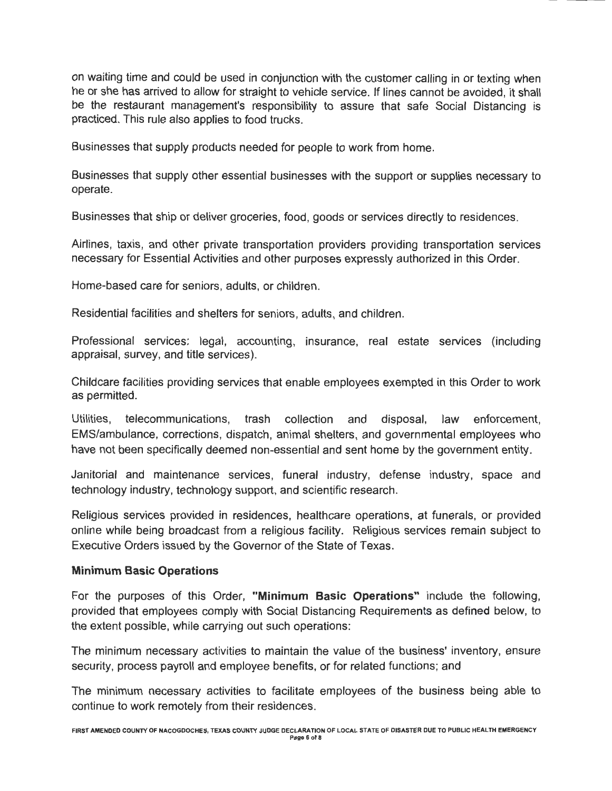on waiting time and could be used in conjunction with the customer calling in or texting when he or she has arrived to allow for straight to vehicle service. If lines cannot be avoided, it shall be the restaurant management's responsibility to assure that safe Social Distancing is practiced. This rule also applies to food trucks.

Businesses that supply products needed for people to work from home.

Businesses that supply other essential businesses with the support or supplies necessary to operate.

Businesses that ship or deliver groceries, food, goods or services directly to residences.

Airlines, taxis, and other private transportation providers providing transportation services necessary for Essential Activities and other purposes expressly authorized in this Order.

Home-based care for seniors, adults, or children.

Residential facilities and shelters for seniors, adults, and children.

Professional services: legal, accounting, insurance, real estate services (including appraisal, survey, and title services).

Childcare facilities providing services that enable employees exempted in this Order to work as permitted.

Utilities, telecommunications, trash collection and disposal, law enforcement, EMS/ambulance, corrections, dispatch, animal shelters, and governmental employees who have not been specifically deemed non-essential and sent home by the government entity.

Janitorial and maintenance services, funeral industry, defense industry, space and technology industry, technology support, and scientific research.

Religious services provided in residences, healthcare operations, at funerals, or provided online while being broadcast from a religious facility. Religious services remain subject to Executive Orders issued by the Governor of the State of Texas.

#### **Minimum Basic Operations**

For the purposes of this Order, **"Minimum Basic Operations"** include the following, provided that employees comply with Social Distancing Requirements as defined below, to the extent possible, while carrying out such operations:

The minimum necessary activities to maintain the value of the business' inventory, ensure security, process payroll and employee benefits, or for related functions; and

The minimum necessary activities to facilitate employees of the business being able to continue to work remotely from their residences.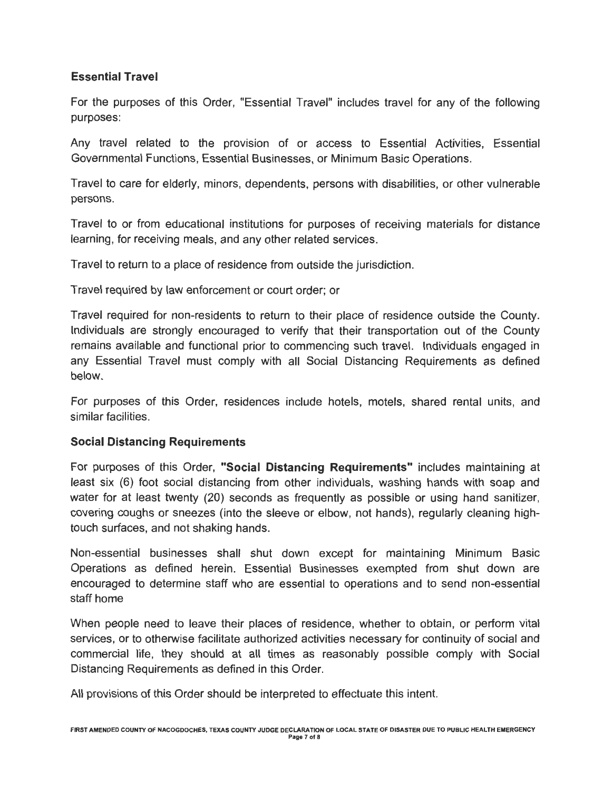## **Essential Travel**

For the purposes of this Order, "Essential Travel" includes travel for any of the following purposes:

Any travel related to the provision of or access to Essential Activities, Essential Governmental Functions, Essential Businesses, or Minimum Basic Operations.

Travel to care for elderly, minors, dependents, persons with disabilities, or other vulnerable persons.

Travel to or from educational institutions for purposes of receiving materials for distance learning, for receiving meals, and any other related services.

Travel to return to a place of residence from outside the jurisdiction.

Travel required by law enforcement or court order; or

Travel required for non-residents to return to their place of residence outside the County. Individuals are strongly encouraged to verify that their transportation out of the County remains available and functional prior to commencing such travel. Individuals engaged in any Essential Travel must comply with all Social Distancing Requirements as defined below.

For purposes of this Order, residences include hotels, motels, shared rental units, and similar facilities.

## **Social Distancing Requirements**

For purposes of this Order, **"Social Distancing Requirements"** includes maintaining at least six (6) foot social distancing from other individuals, washing hands with soap and water for at least twenty (20) seconds as frequently as possible or using hand sanitizer, covering coughs or sneezes (into the sleeve or elbow, not hands), regularly cleaning hightouch surfaces, and not shaking hands.

Non-essential businesses shall shut down except for maintaining Minimum Basic Operations as defined herein. Essential Businesses exempted from shut down are encouraged to determine staff who are essential to operations and to send non-essential staff home

When people need to leave their places of residence, whether to obtain, or perform vital services, or to otherwise facilitate authorized activities necessary for continuity of social and commercial life, they should at all times as reasonably possible comply with Social Distancing Requirements as defined in this Order.

All provisions of this Order should be interpreted to effectuate this intent.